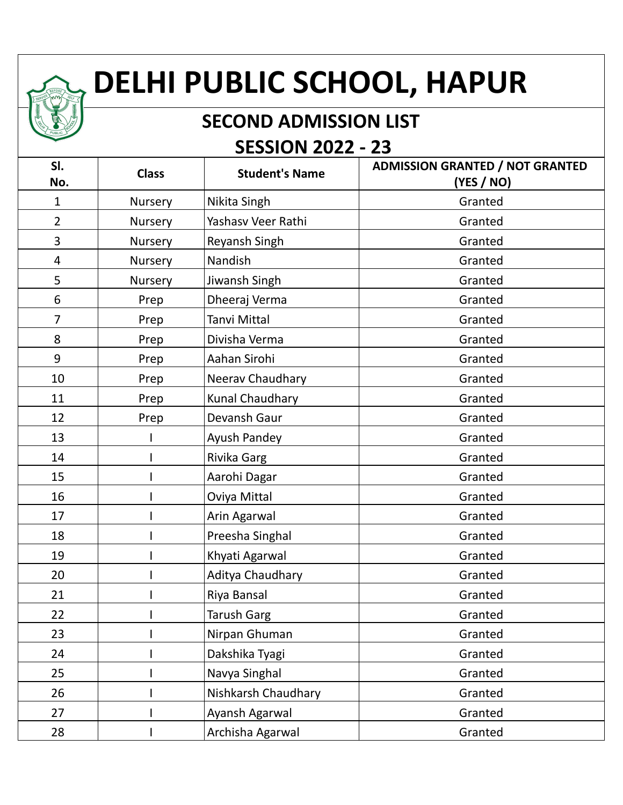## **DELHI PUBLIC SCHOOL, HAPUR**

## **SECOND ADMISSION LIST SESSION 2022 - 23**

| SI.<br>No.     | <b>Class</b> | <b>Student's Name</b> | <b>ADMISSION GRANTED / NOT GRANTED</b><br>(YES / NO) |
|----------------|--------------|-----------------------|------------------------------------------------------|
| 1              | Nursery      | Nikita Singh          | Granted                                              |
| $\overline{2}$ | Nursery      | Yashasv Veer Rathi    | Granted                                              |
| 3              | Nursery      | Reyansh Singh         | Granted                                              |
| 4              | Nursery      | Nandish               | Granted                                              |
| 5              | Nursery      | Jiwansh Singh         | Granted                                              |
| 6              | Prep         | Dheeraj Verma         | Granted                                              |
| 7              | Prep         | Tanvi Mittal          | Granted                                              |
| 8              | Prep         | Divisha Verma         | Granted                                              |
| 9              | Prep         | Aahan Sirohi          | Granted                                              |
| 10             | Prep         | Neerav Chaudhary      | Granted                                              |
| 11             | Prep         | Kunal Chaudhary       | Granted                                              |
| 12             | Prep         | Devansh Gaur          | Granted                                              |
| 13             |              | Ayush Pandey          | Granted                                              |
| 14             |              | Rivika Garg           | Granted                                              |
| 15             |              | Aarohi Dagar          | Granted                                              |
| 16             |              | Oviya Mittal          | Granted                                              |
| 17             |              | Arin Agarwal          | Granted                                              |
| 18             |              | Preesha Singhal       | Granted                                              |
| 19             |              | Khyati Agarwal        | Granted                                              |
| 20             |              | Aditya Chaudhary      | Granted                                              |
| 21             |              | Riya Bansal           | Granted                                              |
| 22             |              | Tarush Garg           | Granted                                              |
| 23             |              | Nirpan Ghuman         | Granted                                              |
| 24             |              | Dakshika Tyagi        | Granted                                              |
| 25             |              | Navya Singhal         | Granted                                              |
| 26             |              | Nishkarsh Chaudhary   | Granted                                              |
| 27             |              | Ayansh Agarwal        | Granted                                              |
| 28             |              | Archisha Agarwal      | Granted                                              |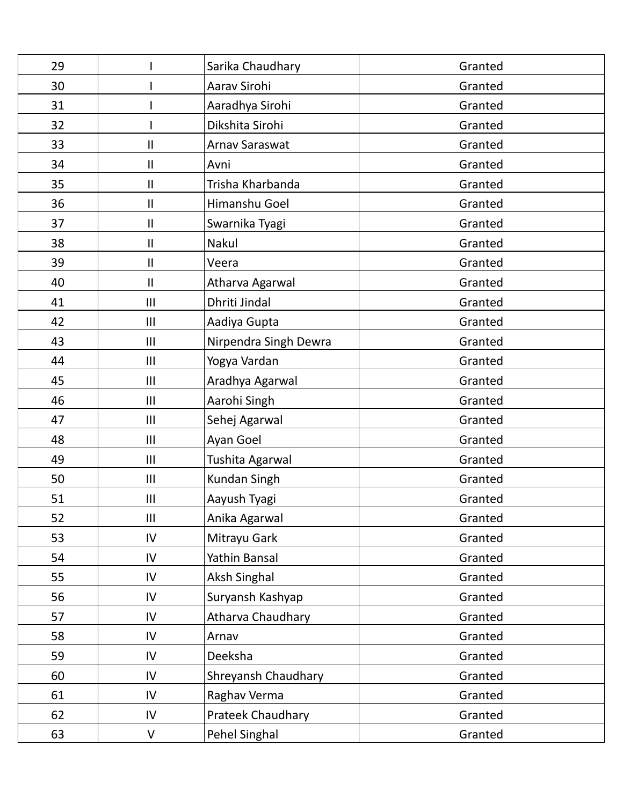| 29 |               | Sarika Chaudhary      | Granted |
|----|---------------|-----------------------|---------|
| 30 |               | Aarav Sirohi          | Granted |
| 31 |               | Aaradhya Sirohi       | Granted |
| 32 |               | Dikshita Sirohi       | Granted |
| 33 | Ш             | <b>Arnav Saraswat</b> | Granted |
| 34 | Ш             | Avni                  | Granted |
| 35 | Ш             | Trisha Kharbanda      | Granted |
| 36 | $\mathbf{II}$ | Himanshu Goel         | Granted |
| 37 | Ш             | Swarnika Tyagi        | Granted |
| 38 | $\mathbf{I}$  | Nakul                 | Granted |
| 39 | Ш             | Veera                 | Granted |
| 40 | $\mathbf{II}$ | Atharva Agarwal       | Granted |
| 41 | III           | Dhriti Jindal         | Granted |
| 42 | III           | Aadiya Gupta          | Granted |
| 43 | Ш             | Nirpendra Singh Dewra | Granted |
| 44 | Ш             | Yogya Vardan          | Granted |
| 45 | III           | Aradhya Agarwal       | Granted |
| 46 | III           | Aarohi Singh          | Granted |
| 47 | III           | Sehej Agarwal         | Granted |
| 48 | Ш             | Ayan Goel             | Granted |
| 49 | III           | Tushita Agarwal       | Granted |
| 50 | III           | Kundan Singh          | Granted |
| 51 | III           | Aayush Tyagi          | Granted |
| 52 | III           | Anika Agarwal         | Granted |
| 53 | IV            | Mitrayu Gark          | Granted |
| 54 | IV            | Yathin Bansal         | Granted |
| 55 | IV            | <b>Aksh Singhal</b>   | Granted |
| 56 | IV            | Suryansh Kashyap      | Granted |
| 57 | IV            | Atharva Chaudhary     | Granted |
| 58 | IV            | Arnav                 | Granted |
| 59 | IV            | Deeksha               | Granted |
| 60 | IV            | Shreyansh Chaudhary   | Granted |
| 61 | IV            | Raghav Verma          | Granted |
| 62 | IV            | Prateek Chaudhary     | Granted |
| 63 | $\vee$        | Pehel Singhal         | Granted |